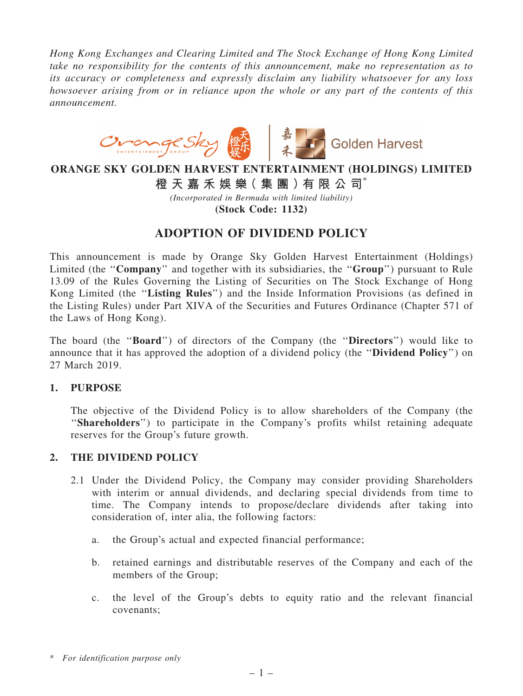*Hong Kong Exchanges and Clearing Limited and The Stock Exchange of Hong Kong Limited take no responsibility for the contents of this announcement, make no representation as to its accuracy or completeness and expressly disclaim any liability whatsoever for any loss howsoever arising from or in reliance upon the whole or any part of the contents of this announcement.*



# ORANGE SKY GOLDEN HARVEST ENTERTAINMENT (HOLDINGS) LIMITED

橙 天 嘉 禾 娛 樂 (集 團 ) 有 限 公 司 $^*$ 

*(Incorporated in Bermuda with limited liability)*

(Stock Code: 1132)

## ADOPTION OF DIVIDEND POLICY

This announcement is made by Orange Sky Golden Harvest Entertainment (Holdings) Limited (the "Company" and together with its subsidiaries, the "Group") pursuant to Rule 13.09 of the Rules Governing the Listing of Securities on The Stock Exchange of Hong Kong Limited (the ''Listing Rules'') and the Inside Information Provisions (as defined in the Listing Rules) under Part XIVA of the Securities and Futures Ordinance (Chapter 571 of the Laws of Hong Kong).

The board (the ''Board'') of directors of the Company (the ''Directors'') would like to announce that it has approved the adoption of a dividend policy (the ''Dividend Policy'') on 27 March 2019.

### 1. PURPOSE

The objective of the Dividend Policy is to allow shareholders of the Company (the "Shareholders") to participate in the Company's profits whilst retaining adequate reserves for the Group's future growth.

### 2. THE DIVIDEND POLICY

- 2.1 Under the Dividend Policy, the Company may consider providing Shareholders with interim or annual dividends, and declaring special dividends from time to time. The Company intends to propose/declare dividends after taking into consideration of, inter alia, the following factors:
	- a. the Group's actual and expected financial performance;
	- b. retained earnings and distributable reserves of the Company and each of the members of the Group;
	- c. the level of the Group's debts to equity ratio and the relevant financial covenants;